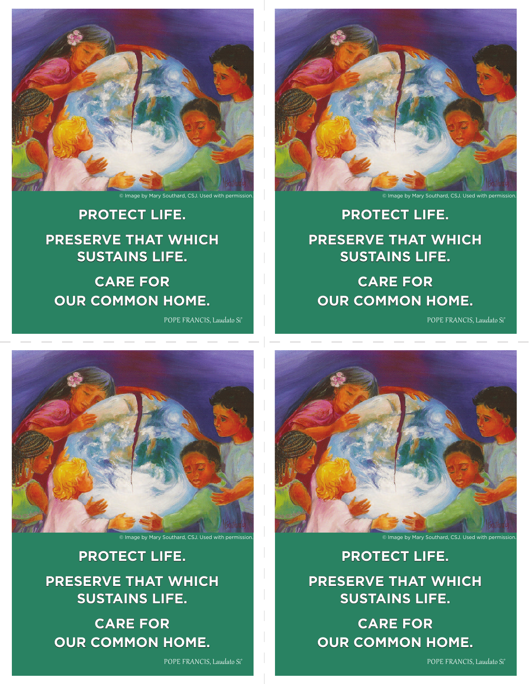

© Image by Mary Southard, CSJ. Used with permission.

**PROTECT LIFE. PRESERVE THAT WHICH SUSTAINS LIFE.**

**CARE FOR OUR COMMON HOME.**

POPE FRANCIS, Laudato Si'



© Image by Mary Southard, CSJ. Used with permission.

**PROTECT LIFE. PRESERVE THAT WHICH SUSTAINS LIFE.**

**CARE FOR OUR COMMON HOME.**

POPE FRANCIS, Laudato Si'



**PROTECT LIFE. PRESERVE THAT WHICH SUSTAINS LIFE.**

**CARE FOR OUR COMMON HOME.**

POPE FRANCIS, Laudato Si'



**PROTECT LIFE. PRESERVE THAT WHICH SUSTAINS LIFE.**

**CARE FOR OUR COMMON HOME.**

POPE FRANCIS, Laudato Si'